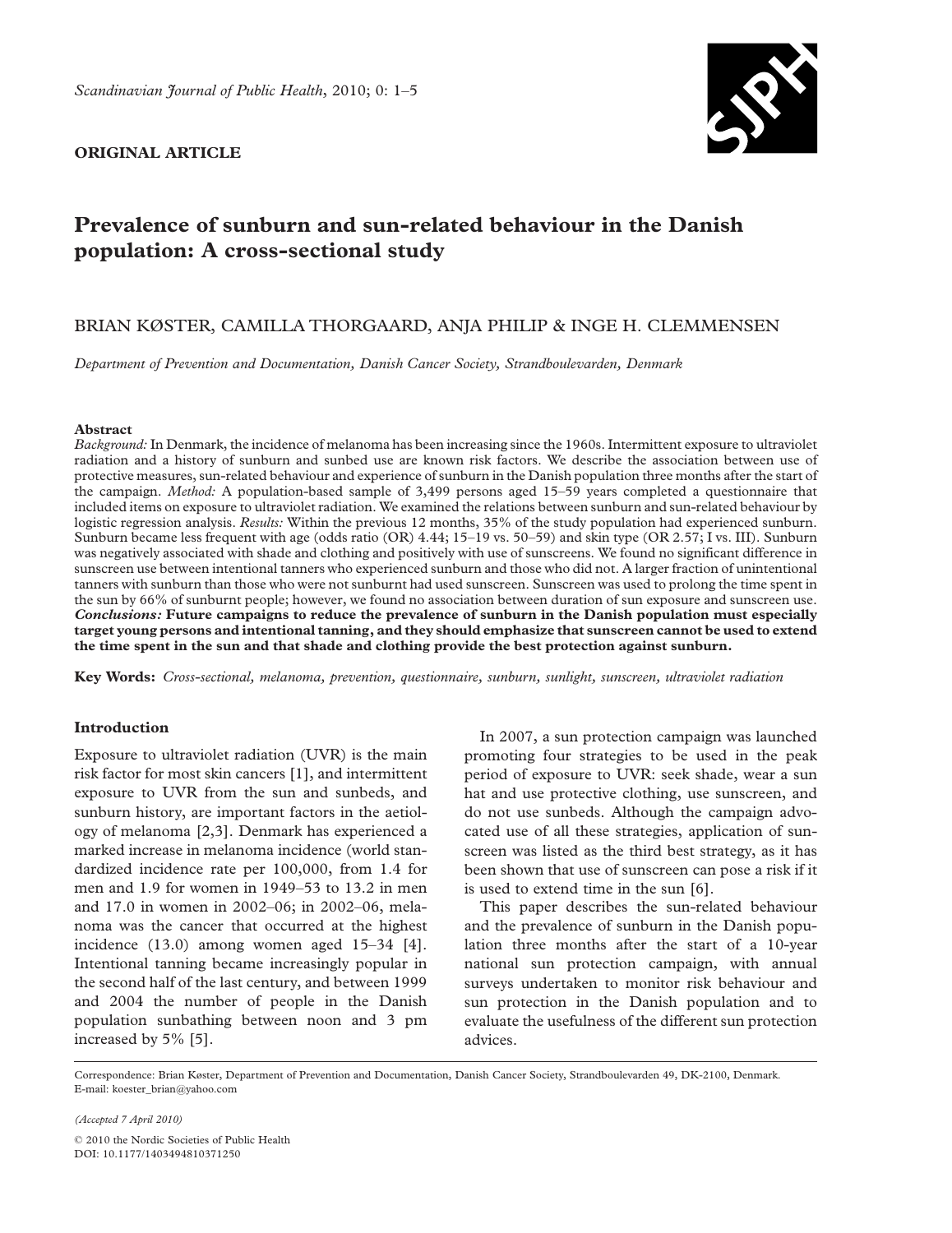

# ORIGINAL ARTICLE

# Prevalence of sunburn and sun-related behaviour in the Danish population: A cross-sectional study

# BRIAN KØSTER, CAMILLA THORGAARD, ANJA PHILIP & INGE H. CLEMMENSEN

Department of Prevention and Documentation, Danish Cancer Society, Strandboulevarden, Denmark

#### Abstract

Background: In Denmark, the incidence of melanoma has been increasing since the 1960s. Intermittent exposure to ultraviolet radiation and a history of sunburn and sunbed use are known risk factors. We describe the association between use of protective measures, sun-related behaviour and experience of sunburn in the Danish population three months after the start of the campaign. Method: A population-based sample of 3,499 persons aged 15–59 years completed a questionnaire that included items on exposure to ultraviolet radiation. We examined the relations between sunburn and sun-related behaviour by logistic regression analysis. Results: Within the previous 12 months, 35% of the study population had experienced sunburn. Sunburn became less frequent with age (odds ratio (OR) 4.44; 15–19 vs. 50–59) and skin type (OR 2.57; I vs. III). Sunburn was negatively associated with shade and clothing and positively with use of sunscreens. We found no significant difference in sunscreen use between intentional tanners who experienced sunburn and those who did not. A larger fraction of unintentional tanners with sunburn than those who were not sunburnt had used sunscreen. Sunscreen was used to prolong the time spent in the sun by 66% of sunburnt people; however, we found no association between duration of sun exposure and sunscreen use. Conclusions: Future campaigns to reduce the prevalence of sunburn in the Danish population must especially target young persons and intentional tanning, and they should emphasize that sunscreen cannot be used to extend the time spent in the sun and that shade and clothing provide the best protection against sunburn.

Key Words: Cross-sectional, melanoma, prevention, questionnaire, sunburn, sunlight, sunscreen, ultraviolet radiation

# Introduction

Exposure to ultraviolet radiation (UVR) is the main risk factor for most skin cancers [1], and intermittent exposure to UVR from the sun and sunbeds, and sunburn history, are important factors in the aetiology of melanoma [2,3]. Denmark has experienced a marked increase in melanoma incidence (world standardized incidence rate per 100,000, from 1.4 for men and 1.9 for women in 1949–53 to 13.2 in men and 17.0 in women in 2002–06; in 2002–06, melanoma was the cancer that occurred at the highest incidence (13.0) among women aged 15–34 [4]. Intentional tanning became increasingly popular in the second half of the last century, and between 1999 and 2004 the number of people in the Danish population sunbathing between noon and 3 pm increased by 5% [5].

In 2007, a sun protection campaign was launched promoting four strategies to be used in the peak period of exposure to UVR: seek shade, wear a sun hat and use protective clothing, use sunscreen, and do not use sunbeds. Although the campaign advocated use of all these strategies, application of sunscreen was listed as the third best strategy, as it has been shown that use of sunscreen can pose a risk if it is used to extend time in the sun [6].

This paper describes the sun-related behaviour and the prevalence of sunburn in the Danish population three months after the start of a 10-year national sun protection campaign, with annual surveys undertaken to monitor risk behaviour and sun protection in the Danish population and to evaluate the usefulness of the different sun protection advices.

Correspondence: Brian Køster, Department of Prevention and Documentation, Danish Cancer Society, Strandboulevarden 49, DK-2100, Denmark. E-mail: koester\_brian@yahoo.com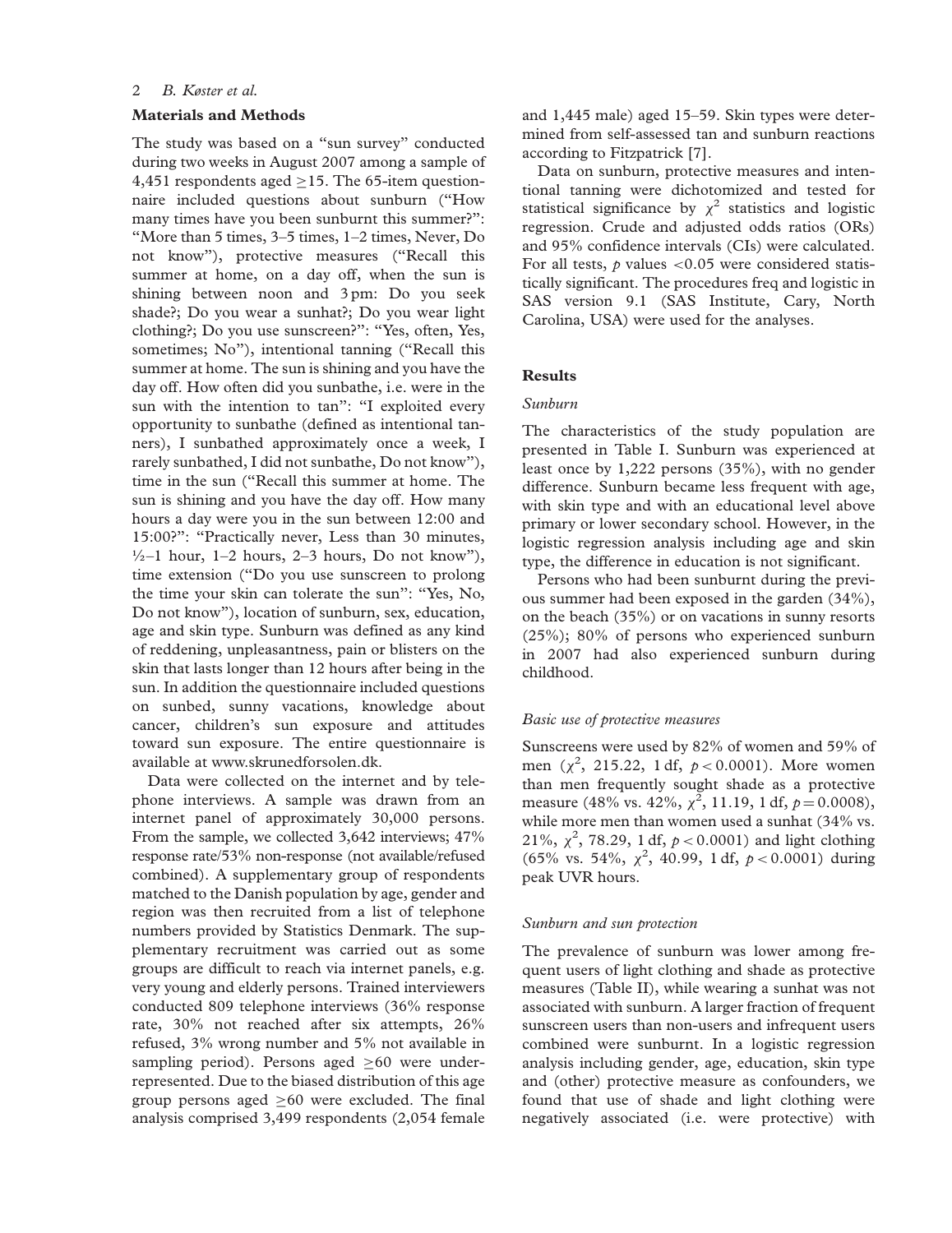# 2 B. Køster et al.

# Materials and Methods

The study was based on a "sun survey" conducted during two weeks in August 2007 among a sample of 4,451 respondents aged  $\geq$ 15. The 65-item questionnaire included questions about sunburn (''How many times have you been sunburnt this summer?'': ''More than 5 times, 3–5 times, 1–2 times, Never, Do not know''), protective measures (''Recall this summer at home, on a day off, when the sun is shining between noon and 3 pm: Do you seek shade?; Do you wear a sunhat?; Do you wear light clothing?; Do you use sunscreen?'': ''Yes, often, Yes, sometimes; No"), intentional tanning ("Recall this summer at home. The sun is shining and you have the day off. How often did you sunbathe, i.e. were in the sun with the intention to tan'': ''I exploited every opportunity to sunbathe (defined as intentional tanners), I sunbathed approximately once a week, I rarely sunbathed, I did not sunbathe, Do not know''), time in the sun (''Recall this summer at home. The sun is shining and you have the day off. How many hours a day were you in the sun between 12:00 and 15:00?": "Practically never, Less than 30 minutes,  $\frac{1}{2}$ –1 hour, 1–2 hours, 2–3 hours, Do not know"), time extension (''Do you use sunscreen to prolong the time your skin can tolerate the sun'': ''Yes, No, Do not know''), location of sunburn, sex, education, age and skin type. Sunburn was defined as any kind of reddening, unpleasantness, pain or blisters on the skin that lasts longer than 12 hours after being in the sun. In addition the questionnaire included questions on sunbed, sunny vacations, knowledge about cancer, children's sun exposure and attitudes toward sun exposure. The entire questionnaire is available at www.skrunedforsolen.dk.

Data were collected on the internet and by telephone interviews. A sample was drawn from an internet panel of approximately 30,000 persons. From the sample, we collected 3,642 interviews; 47% response rate/53% non-response (not available/refused combined). A supplementary group of respondents matched to the Danish population by age, gender and region was then recruited from a list of telephone numbers provided by Statistics Denmark. The supplementary recruitment was carried out as some groups are difficult to reach via internet panels, e.g. very young and elderly persons. Trained interviewers conducted 809 telephone interviews (36% response rate, 30% not reached after six attempts, 26% refused, 3% wrong number and 5% not available in sampling period). Persons aged  $\geq 60$  were underrepresented. Due to the biased distribution of this age group persons aged  $\geq 60$  were excluded. The final analysis comprised 3,499 respondents (2,054 female

and 1,445 male) aged 15–59. Skin types were determined from self-assessed tan and sunburn reactions according to Fitzpatrick [7].

Data on sunburn, protective measures and intentional tanning were dichotomized and tested for statistical significance by  $\chi^2$  statistics and logistic regression. Crude and adjusted odds ratios (ORs) and 95% confidence intervals (CIs) were calculated. For all tests,  $p$  values <0.05 were considered statistically significant. The procedures freq and logistic in SAS version 9.1 (SAS Institute, Cary, North Carolina, USA) were used for the analyses.

#### **Results**

# Sunburn

The characteristics of the study population are presented in Table I. Sunburn was experienced at least once by 1,222 persons (35%), with no gender difference. Sunburn became less frequent with age, with skin type and with an educational level above primary or lower secondary school. However, in the logistic regression analysis including age and skin type, the difference in education is not significant.

Persons who had been sunburnt during the previous summer had been exposed in the garden (34%), on the beach (35%) or on vacations in sunny resorts (25%); 80% of persons who experienced sunburn in 2007 had also experienced sunburn during childhood.

## Basic use of protective measures

Sunscreens were used by 82% of women and 59% of men  $(\chi^2, 215.22, 1 \text{ df}, p < 0.0001)$ . More women than men frequently sought shade as a protective measure (48% vs. 42%,  $\chi^2$ , 11.19, 1 df,  $p = 0.0008$ ), while more men than women used a sunhat (34% vs. 21%,  $\chi^2$ , 78.29, 1 df,  $p < 0.0001$ ) and light clothing  $(65\% \text{ vs. } 54\%, \chi^2, 40.99, 1 \text{ df}, p < 0.0001)$  during peak UVR hours.

#### Sunburn and sun protection

The prevalence of sunburn was lower among frequent users of light clothing and shade as protective measures (Table II), while wearing a sunhat was not associated with sunburn. A larger fraction of frequent sunscreen users than non-users and infrequent users combined were sunburnt. In a logistic regression analysis including gender, age, education, skin type and (other) protective measure as confounders, we found that use of shade and light clothing were negatively associated (i.e. were protective) with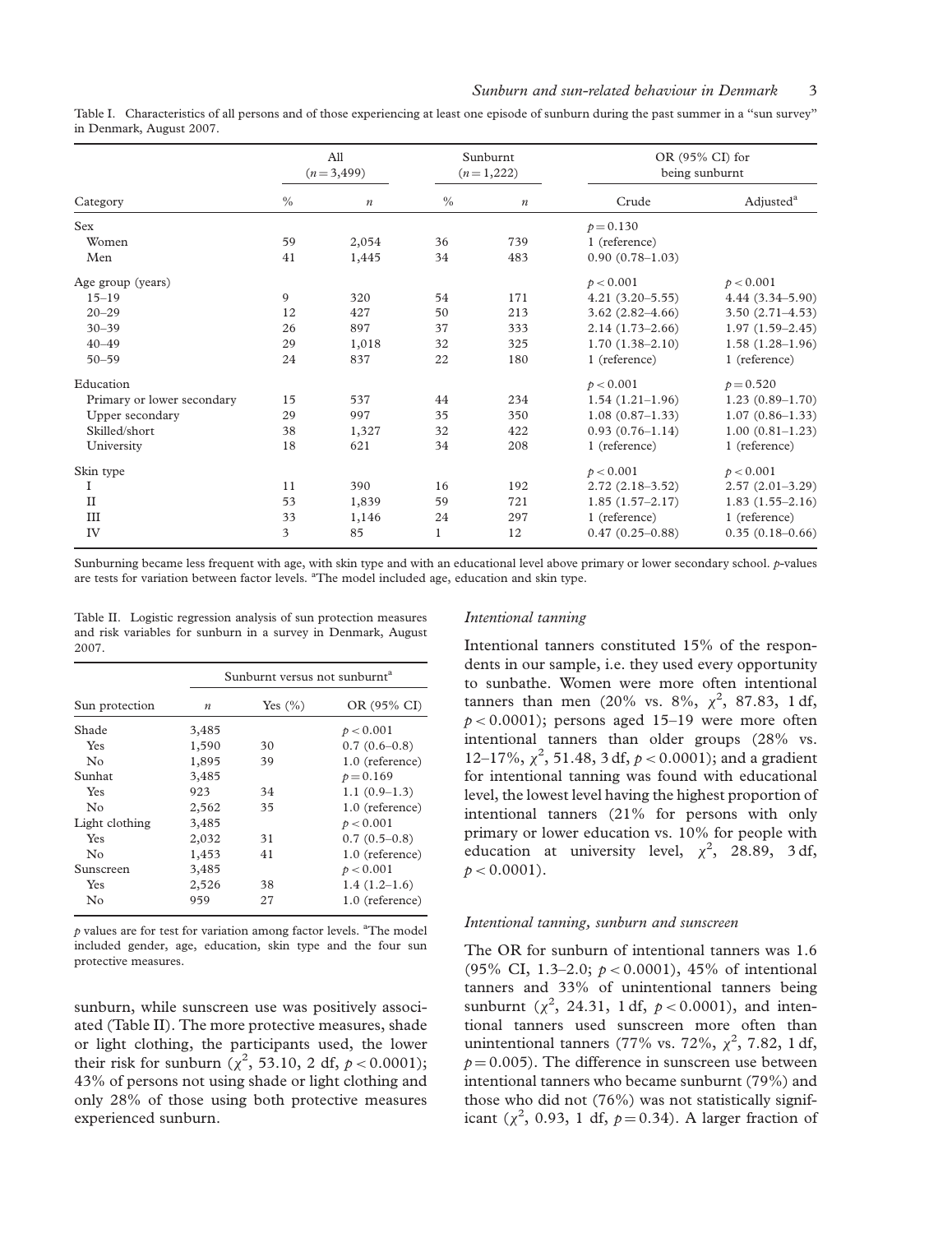| Table I. Characteristics of all persons and of those experiencing at least one episode of sunburn during the past summer in a "sun survey" |  |  |  |
|--------------------------------------------------------------------------------------------------------------------------------------------|--|--|--|
| in Denmark, August 2007.                                                                                                                   |  |  |  |

|                            | All<br>$(n=3,499)$ |                  | Sunburnt<br>$(n=1,222)$ |                  | OR (95% CI) for<br>being sunburnt |                       |
|----------------------------|--------------------|------------------|-------------------------|------------------|-----------------------------------|-----------------------|
| Category                   | $\frac{0}{0}$      | $\boldsymbol{n}$ | $\frac{0}{0}$           | $\boldsymbol{n}$ | Crude                             | Adjusted <sup>a</sup> |
| <b>Sex</b>                 |                    |                  |                         |                  | $p = 0.130$                       |                       |
| Women                      | 59                 | 2,054            | 36                      | 739              | 1 (reference)                     |                       |
| Men                        | 41                 | 1,445            | 34                      | 483              | $0.90(0.78 - 1.03)$               |                       |
| Age group (years)          |                    |                  |                         |                  | p < 0.001                         | p < 0.001             |
| $15 - 19$                  | 9                  | 320              | 54                      | 171              | $4.21(3.20 - 5.55)$               | $4.44(3.34 - 5.90)$   |
| $20 - 29$                  | 12                 | 427              | 50                      | 213              | $3.62(2.82 - 4.66)$               | $3.50(2.71 - 4.53)$   |
| $30 - 39$                  | 26                 | 897              | 37                      | 333              | $2.14(1.73-2.66)$                 | $1.97(1.59 - 2.45)$   |
| $40 - 49$                  | 29                 | 1,018            | 32                      | 325              | $1.70(1.38 - 2.10)$               | $1.58(1.28-1.96)$     |
| $50 - 59$                  | 24                 | 837              | 22                      | 180              | 1 (reference)                     | 1 (reference)         |
| Education                  |                    |                  |                         |                  | p < 0.001                         | $p = 0.520$           |
| Primary or lower secondary | 15                 | 537              | 44                      | 234              | $1.54(1.21-1.96)$                 | $1.23(0.89 - 1.70)$   |
| Upper secondary            | 29                 | 997              | 35                      | 350              | $1.08(0.87-1.33)$                 | $1.07(0.86 - 1.33)$   |
| Skilled/short              | 38                 | 1,327            | 32                      | 422              | $0.93(0.76 - 1.14)$               | $1.00(0.81 - 1.23)$   |
| University                 | 18                 | 621              | 34                      | 208              | 1 (reference)                     | 1 (reference)         |
| Skin type                  |                    |                  |                         |                  | p < 0.001                         | p < 0.001             |
| I                          | 11                 | 390              | 16                      | 192              | $2.72(2.18-3.52)$                 | $2.57(2.01-3.29)$     |
| $\mathbf{I}$               | 53                 | 1,839            | 59                      | 721              | $1.85(1.57-2.17)$                 | $1.83(1.55 - 2.16)$   |
| III                        | 33                 | 1,146            | 24                      | 297              | 1 (reference)                     | 1 (reference)         |
| IV                         | 3                  | 85               | 1                       | 12               | $0.47(0.25-0.88)$                 | $0.35(0.18-0.66)$     |

Sunburning became less frequent with age, with skin type and with an educational level above primary or lower secondary school. p-values are tests for variation between factor levels. <sup>a</sup>The model included age, education and skin type.

Table II. Logistic regression analysis of sun protection measures and risk variables for sunburn in a survey in Denmark, August 2007.

|                       | Sunburnt versus not sunburnt <sup>a</sup> |             |                 |  |  |
|-----------------------|-------------------------------------------|-------------|-----------------|--|--|
| Sun protection        | $\boldsymbol{n}$                          | Yes $(\% )$ | OR (95% CI)     |  |  |
| Shade                 | 3,485                                     |             | p < 0.001       |  |  |
| Yes                   | 1,590                                     | 30          | $0.7(0.6-0.8)$  |  |  |
| $\rm No$              | 1,895                                     | 39          | 1.0 (reference) |  |  |
| Sunhat                | 3,485                                     |             | $p = 0.169$     |  |  |
| Yes                   | 923                                       | 34          | $1.1(0.9-1.3)$  |  |  |
| $\mathbb{N}^{\Omega}$ | 2,562                                     | 35          | 1.0 (reference) |  |  |
| Light clothing        | 3,485                                     |             | p < 0.001       |  |  |
| Yes                   | 2,032                                     | 31          | $0.7(0.5-0.8)$  |  |  |
| No                    | 1,453                                     | 41          | 1.0 (reference) |  |  |
| Sunscreen             | 3,485                                     |             | p < 0.001       |  |  |
| Yes                   | 2,526                                     | 38          | $1.4(1.2-1.6)$  |  |  |
| No                    | 959                                       | 27          | 1.0 (reference) |  |  |

 $p$  values are for test for variation among factor levels. <sup>a</sup>The model included gender, age, education, skin type and the four sun protective measures.

sunburn, while sunscreen use was positively associated (Table II). The more protective measures, shade or light clothing, the participants used, the lower their risk for sunburn ( $\chi^2$ , 53.10, 2 df,  $p < 0.0001$ ); 43% of persons not using shade or light clothing and only 28% of those using both protective measures experienced sunburn.

# Intentional tanning

Intentional tanners constituted 15% of the respondents in our sample, i.e. they used every opportunity to sunbathe. Women were more often intentional tanners than men (20% vs. 8%,  $\chi^2$ , 87.83, 1 df,  $p < 0.0001$ ); persons aged 15–19 were more often intentional tanners than older groups (28% vs. 12–17%,  $\chi^2$ , 51.48, 3 df,  $p < 0.0001$ ); and a gradient for intentional tanning was found with educational level, the lowest level having the highest proportion of intentional tanners (21% for persons with only primary or lower education vs. 10% for people with education at university level,  $\chi^2$ , 28.89, 3 df,  $p < 0.0001$ ).

#### Intentional tanning, sunburn and sunscreen

The OR for sunburn of intentional tanners was 1.6 (95% CI, 1.3–2.0;  $p < 0.0001$ ), 45% of intentional tanners and 33% of unintentional tanners being sunburnt ( $\chi^2$ , 24.31, 1 df,  $p < 0.0001$ ), and intentional tanners used sunscreen more often than unintentional tanners (77% vs. 72%,  $\chi^2$ , 7.82, 1 df,  $p = 0.005$ ). The difference in sunscreen use between intentional tanners who became sunburnt (79%) and those who did not (76%) was not statistically significant ( $\chi^2$ , 0.93, 1 df,  $p = 0.34$ ). A larger fraction of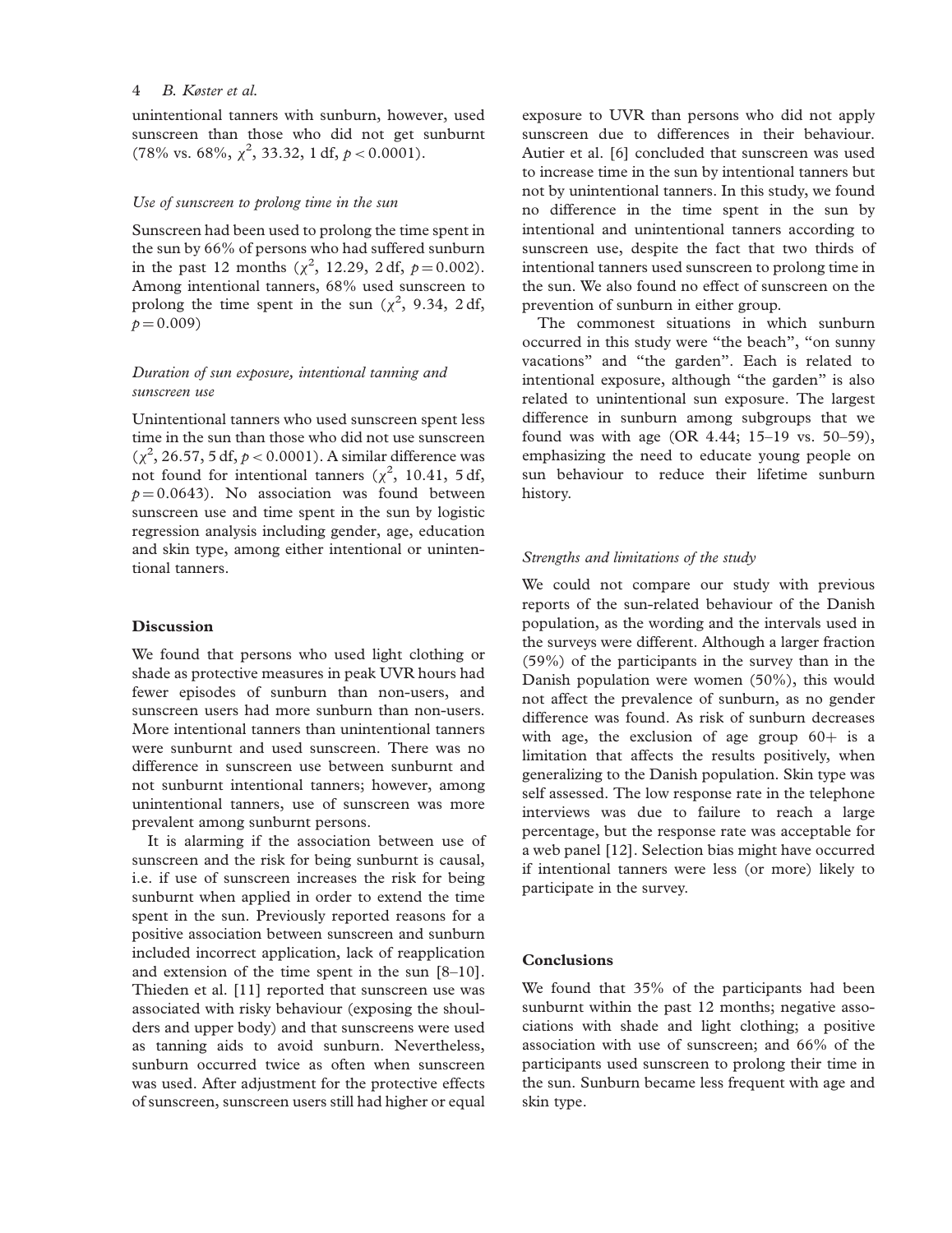unintentional tanners with sunburn, however, used sunscreen than those who did not get sunburnt  $(78\% \text{ vs. } 68\%, \chi^2, 33.32, 1 \text{ df}, p < 0.0001).$ 

#### Use of sunscreen to prolong time in the sun

Sunscreen had been used to prolong the time spent in the sun by 66% of persons who had suffered sunburn in the past 12 months  $(\chi^2, 12.29, 2 \text{ df}, p = 0.002)$ . Among intentional tanners, 68% used sunscreen to prolong the time spent in the sun ( $\chi^2$ , 9.34, 2 df,  $p = 0.009$ 

# Duration of sun exposure, intentional tanning and sunscreen use

Unintentional tanners who used sunscreen spent less time in the sun than those who did not use sunscreen  $(\chi^2, 26.57, 5 \text{ df}, p < 0.0001)$ . A similar difference was not found for intentional tanners ( $\chi^2$ , 10.41, 5 df,  $p = 0.0643$ . No association was found between sunscreen use and time spent in the sun by logistic regression analysis including gender, age, education and skin type, among either intentional or unintentional tanners.

# Discussion

We found that persons who used light clothing or shade as protective measures in peak UVR hours had fewer episodes of sunburn than non-users, and sunscreen users had more sunburn than non-users. More intentional tanners than unintentional tanners were sunburnt and used sunscreen. There was no difference in sunscreen use between sunburnt and not sunburnt intentional tanners; however, among unintentional tanners, use of sunscreen was more prevalent among sunburnt persons.

It is alarming if the association between use of sunscreen and the risk for being sunburnt is causal, i.e. if use of sunscreen increases the risk for being sunburnt when applied in order to extend the time spent in the sun. Previously reported reasons for a positive association between sunscreen and sunburn included incorrect application, lack of reapplication and extension of the time spent in the sun [8–10]. Thieden et al. [11] reported that sunscreen use was associated with risky behaviour (exposing the shoulders and upper body) and that sunscreens were used as tanning aids to avoid sunburn. Nevertheless, sunburn occurred twice as often when sunscreen was used. After adjustment for the protective effects of sunscreen, sunscreen users still had higher or equal

exposure to UVR than persons who did not apply sunscreen due to differences in their behaviour. Autier et al. [6] concluded that sunscreen was used to increase time in the sun by intentional tanners but not by unintentional tanners. In this study, we found no difference in the time spent in the sun by intentional and unintentional tanners according to sunscreen use, despite the fact that two thirds of intentional tanners used sunscreen to prolong time in the sun. We also found no effect of sunscreen on the prevention of sunburn in either group.

The commonest situations in which sunburn occurred in this study were ''the beach'', ''on sunny vacations'' and ''the garden''. Each is related to intentional exposure, although "the garden" is also related to unintentional sun exposure. The largest difference in sunburn among subgroups that we found was with age (OR 4.44; 15–19 vs. 50–59), emphasizing the need to educate young people on sun behaviour to reduce their lifetime sunburn history.

#### Strengths and limitations of the study

We could not compare our study with previous reports of the sun-related behaviour of the Danish population, as the wording and the intervals used in the surveys were different. Although a larger fraction (59%) of the participants in the survey than in the Danish population were women (50%), this would not affect the prevalence of sunburn, as no gender difference was found. As risk of sunburn decreases with age, the exclusion of age group  $60+$  is a limitation that affects the results positively, when generalizing to the Danish population. Skin type was self assessed. The low response rate in the telephone interviews was due to failure to reach a large percentage, but the response rate was acceptable for a web panel [12]. Selection bias might have occurred if intentional tanners were less (or more) likely to participate in the survey.

#### Conclusions

We found that 35% of the participants had been sunburnt within the past 12 months; negative associations with shade and light clothing; a positive association with use of sunscreen; and 66% of the participants used sunscreen to prolong their time in the sun. Sunburn became less frequent with age and skin type.